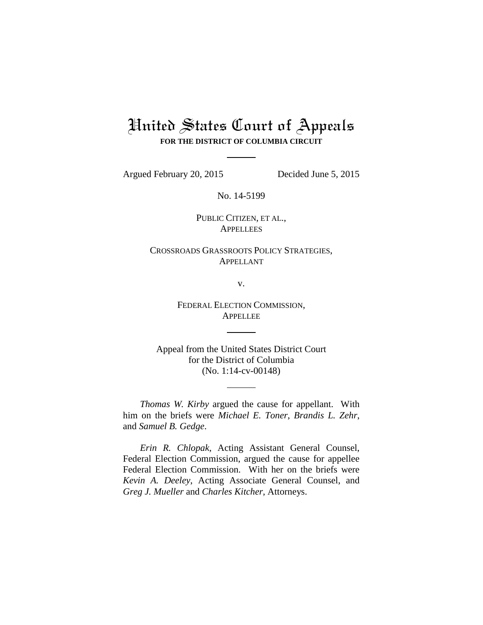# United States Court of Appeals **FOR THE DISTRICT OF COLUMBIA CIRCUIT**

Argued February 20, 2015 Decided June 5, 2015

No. 14-5199

PUBLIC CITIZEN, ET AL., **APPELLEES** 

CROSSROADS GRASSROOTS POLICY STRATEGIES, APPELLANT

v.

FEDERAL ELECTION COMMISSION, APPELLEE

Appeal from the United States District Court for the District of Columbia (No. 1:14-cv-00148)

*Thomas W. Kirby* argued the cause for appellant. With him on the briefs were *Michael E. Toner*, *Brandis L. Zehr*, and *Samuel B. Gedge*.

*Erin R. Chlopak*, Acting Assistant General Counsel, Federal Election Commission, argued the cause for appellee Federal Election Commission. With her on the briefs were *Kevin A. Deeley*, Acting Associate General Counsel, and *Greg J. Mueller* and *Charles Kitcher*, Attorneys.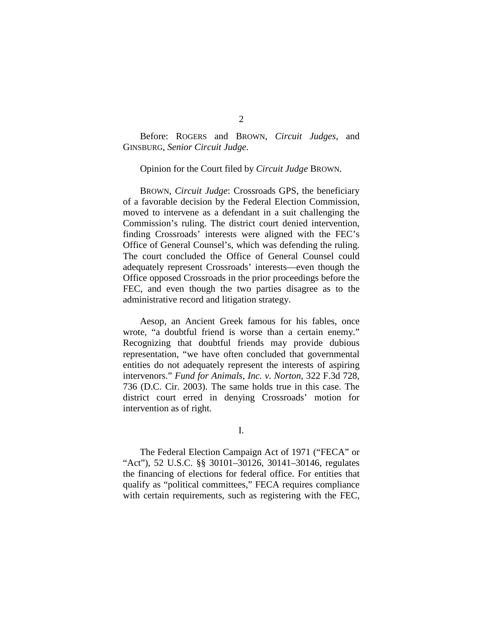Before: ROGERS and BROWN, *Circuit Judges*, and GINSBURG, *Senior Circuit Judge*.

#### Opinion for the Court filed by *Circuit Judge* BROWN.

BROWN, *Circuit Judge*: Crossroads GPS, the beneficiary of a favorable decision by the Federal Election Commission, moved to intervene as a defendant in a suit challenging the Commission's ruling. The district court denied intervention, finding Crossroads' interests were aligned with the FEC's Office of General Counsel's, which was defending the ruling. The court concluded the Office of General Counsel could adequately represent Crossroads' interests—even though the Office opposed Crossroads in the prior proceedings before the FEC, and even though the two parties disagree as to the administrative record and litigation strategy.

Aesop, an Ancient Greek famous for his fables, once wrote, "a doubtful friend is worse than a certain enemy." Recognizing that doubtful friends may provide dubious representation, "we have often concluded that governmental entities do not adequately represent the interests of aspiring intervenors." *Fund for Animals, Inc. v. Norton*, 322 F.3d 728, 736 (D.C. Cir. 2003). The same holds true in this case. The district court erred in denying Crossroads' motion for intervention as of right.

I.

The Federal Election Campaign Act of 1971 ("FECA" or "Act"), 52 U.S.C. §§ 30101–30126, 30141–30146, regulates the financing of elections for federal office. For entities that qualify as "political committees," FECA requires compliance with certain requirements, such as registering with the FEC,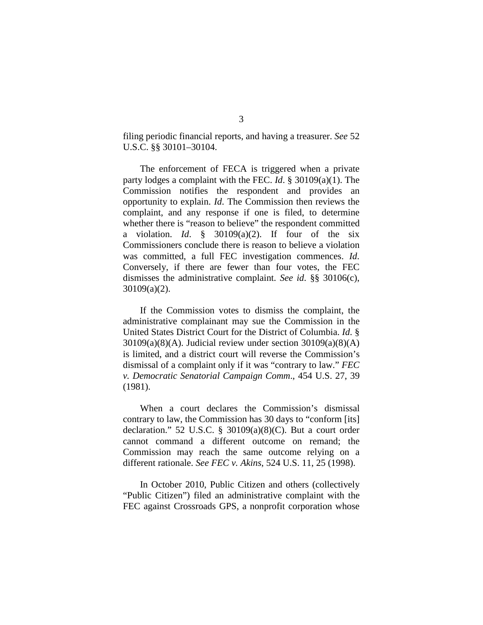filing periodic financial reports, and having a treasurer. *See* 52 U.S.C. §§ 30101–30104.

The enforcement of FECA is triggered when a private party lodges a complaint with the FEC. *Id*. § 30109(a)(1). The Commission notifies the respondent and provides an opportunity to explain. *Id*. The Commission then reviews the complaint, and any response if one is filed, to determine whether there is "reason to believe" the respondent committed a violation. *Id*. § 30109(a)(2). If four of the six Commissioners conclude there is reason to believe a violation was committed, a full FEC investigation commences. *Id*. Conversely, if there are fewer than four votes, the FEC dismisses the administrative complaint. *See id*. §§ 30106(c), 30109(a)(2).

If the Commission votes to dismiss the complaint, the administrative complainant may sue the Commission in the United States District Court for the District of Columbia. *Id*. §  $30109(a)(8)(A)$ . Judicial review under section  $30109(a)(8)(A)$ is limited, and a district court will reverse the Commission's dismissal of a complaint only if it was "contrary to law." *FEC v. Democratic Senatorial Campaign Comm*., 454 U.S. 27, 39 (1981).

When a court declares the Commission's dismissal contrary to law, the Commission has 30 days to "conform [its] declaration." 52 U.S.C. § 30109(a)(8)(C). But a court order cannot command a different outcome on remand; the Commission may reach the same outcome relying on a different rationale. *See FEC v. Akins*, 524 U.S. 11, 25 (1998).

In October 2010, Public Citizen and others (collectively "Public Citizen") filed an administrative complaint with the FEC against Crossroads GPS, a nonprofit corporation whose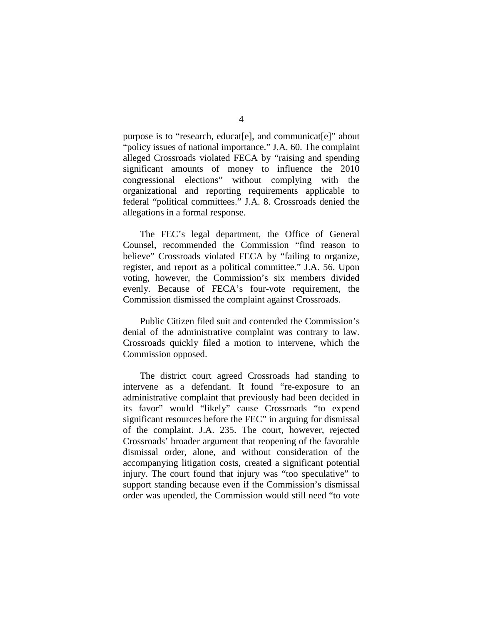purpose is to "research, educat[e], and communicat[e]" about "policy issues of national importance." J.A. 60. The complaint alleged Crossroads violated FECA by "raising and spending significant amounts of money to influence the 2010 congressional elections" without complying with the organizational and reporting requirements applicable to federal "political committees." J.A. 8. Crossroads denied the allegations in a formal response.

The FEC's legal department, the Office of General Counsel, recommended the Commission "find reason to believe" Crossroads violated FECA by "failing to organize, register, and report as a political committee." J.A. 56. Upon voting, however, the Commission's six members divided evenly. Because of FECA's four-vote requirement, the Commission dismissed the complaint against Crossroads.

Public Citizen filed suit and contended the Commission's denial of the administrative complaint was contrary to law. Crossroads quickly filed a motion to intervene, which the Commission opposed.

The district court agreed Crossroads had standing to intervene as a defendant. It found "re-exposure to an administrative complaint that previously had been decided in its favor" would "likely" cause Crossroads "to expend significant resources before the FEC" in arguing for dismissal of the complaint. J.A. 235. The court, however, rejected Crossroads' broader argument that reopening of the favorable dismissal order, alone, and without consideration of the accompanying litigation costs, created a significant potential injury. The court found that injury was "too speculative" to support standing because even if the Commission's dismissal order was upended, the Commission would still need "to vote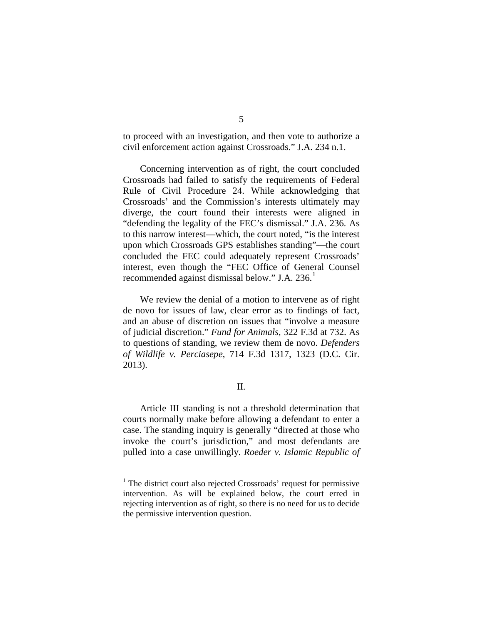to proceed with an investigation, and then vote to authorize a civil enforcement action against Crossroads." J.A. 234 n.1.

Concerning intervention as of right, the court concluded Crossroads had failed to satisfy the requirements of Federal Rule of Civil Procedure 24. While acknowledging that Crossroads' and the Commission's interests ultimately may diverge, the court found their interests were aligned in "defending the legality of the FEC's dismissal." J.A. 236. As to this narrow interest—which, the court noted, "is the interest upon which Crossroads GPS establishes standing"—the court concluded the FEC could adequately represent Crossroads' interest, even though the "FEC Office of General Counsel recommended against dismissal below." J.A.  $236$ .<sup>[1](#page-4-0)</sup>

We review the denial of a motion to intervene as of right de novo for issues of law, clear error as to findings of fact, and an abuse of discretion on issues that "involve a measure of judicial discretion." *Fund for Animals*, 322 F.3d at 732. As to questions of standing, we review them de novo. *Defenders of Wildlife v. Perciasepe*, 714 F.3d 1317, 1323 (D.C. Cir. 2013).

#### II.

Article III standing is not a threshold determination that courts normally make before allowing a defendant to enter a case. The standing inquiry is generally "directed at those who invoke the court's jurisdiction," and most defendants are pulled into a case unwillingly. *Roeder v. Islamic Republic of* 

<span id="page-4-0"></span><sup>&</sup>lt;sup>1</sup> The district court also rejected Crossroads' request for permissive intervention. As will be explained below, the court erred in rejecting intervention as of right, so there is no need for us to decide the permissive intervention question.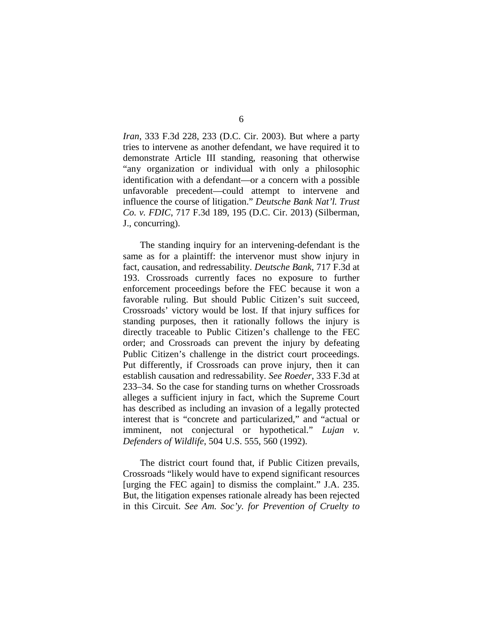*Iran*, 333 F.3d 228, 233 (D.C. Cir. 2003). But where a party tries to intervene as another defendant, we have required it to demonstrate Article III standing, reasoning that otherwise "any organization or individual with only a philosophic identification with a defendant—or a concern with a possible unfavorable precedent—could attempt to intervene and influence the course of litigation." *Deutsche Bank Nat'l. Trust Co. v. FDIC*, 717 F.3d 189, 195 (D.C. Cir. 2013) (Silberman, J., concurring).

The standing inquiry for an intervening-defendant is the same as for a plaintiff: the intervenor must show injury in fact, causation, and redressability. *Deutsche Bank*, 717 F.3d at 193. Crossroads currently faces no exposure to further enforcement proceedings before the FEC because it won a favorable ruling. But should Public Citizen's suit succeed, Crossroads' victory would be lost. If that injury suffices for standing purposes, then it rationally follows the injury is directly traceable to Public Citizen's challenge to the FEC order; and Crossroads can prevent the injury by defeating Public Citizen's challenge in the district court proceedings. Put differently, if Crossroads can prove injury, then it can establish causation and redressability. *See Roeder*, 333 F.3d at 233–34. So the case for standing turns on whether Crossroads alleges a sufficient injury in fact, which the Supreme Court has described as including an invasion of a legally protected interest that is "concrete and particularized," and "actual or imminent, not conjectural or hypothetical." *Lujan v. Defenders of Wildlife*, 504 U.S. 555, 560 (1992).

The district court found that, if Public Citizen prevails, Crossroads "likely would have to expend significant resources [urging the FEC again] to dismiss the complaint." J.A. 235. But, the litigation expenses rationale already has been rejected in this Circuit. *See Am. Soc'y. for Prevention of Cruelty to*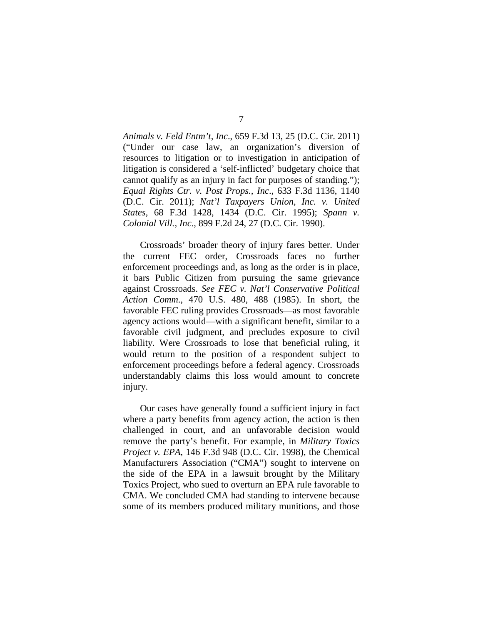*Animals v. Feld Entm't, Inc*., 659 F.3d 13, 25 (D.C. Cir. 2011) ("Under our case law, an organization's diversion of resources to litigation or to investigation in anticipation of litigation is considered a 'self-inflicted' budgetary choice that cannot qualify as an injury in fact for purposes of standing."); *Equal Rights Ctr. v. Post Props., Inc*., 633 F.3d 1136, 1140 (D.C. Cir. 2011); *Nat'l Taxpayers Union, Inc. v. United States*, 68 F.3d 1428, 1434 (D.C. Cir. 1995); *Spann v. Colonial Vill., Inc*., 899 F.2d 24, 27 (D.C. Cir. 1990).

Crossroads' broader theory of injury fares better. Under the current FEC order, Crossroads faces no further enforcement proceedings and, as long as the order is in place, it bars Public Citizen from pursuing the same grievance against Crossroads. *See FEC v. Nat'l Conservative Political Action Comm*., 470 U.S. 480, 488 (1985). In short, the favorable FEC ruling provides Crossroads—as most favorable agency actions would—with a significant benefit, similar to a favorable civil judgment, and precludes exposure to civil liability. Were Crossroads to lose that beneficial ruling, it would return to the position of a respondent subject to enforcement proceedings before a federal agency. Crossroads understandably claims this loss would amount to concrete injury.

Our cases have generally found a sufficient injury in fact where a party benefits from agency action, the action is then challenged in court, and an unfavorable decision would remove the party's benefit. For example, in *Military Toxics Project v. EPA*, 146 F.3d 948 (D.C. Cir. 1998), the Chemical Manufacturers Association ("CMA") sought to intervene on the side of the EPA in a lawsuit brought by the Military Toxics Project, who sued to overturn an EPA rule favorable to CMA. We concluded CMA had standing to intervene because some of its members produced military munitions, and those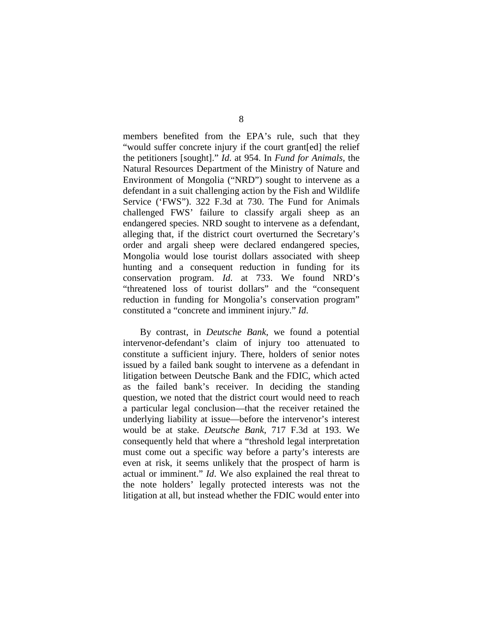members benefited from the EPA's rule, such that they "would suffer concrete injury if the court grant[ed] the relief the petitioners [sought]." *Id*. at 954. In *Fund for Animals*, the Natural Resources Department of the Ministry of Nature and Environment of Mongolia ("NRD") sought to intervene as a defendant in a suit challenging action by the Fish and Wildlife Service ('FWS"). 322 F.3d at 730. The Fund for Animals challenged FWS' failure to classify argali sheep as an endangered species. NRD sought to intervene as a defendant, alleging that, if the district court overturned the Secretary's order and argali sheep were declared endangered species, Mongolia would lose tourist dollars associated with sheep hunting and a consequent reduction in funding for its conservation program. *Id*. at 733. We found NRD's "threatened loss of tourist dollars" and the "consequent reduction in funding for Mongolia's conservation program" constituted a "concrete and imminent injury." *Id*.

By contrast, in *Deutsche Bank*, we found a potential intervenor-defendant's claim of injury too attenuated to constitute a sufficient injury. There, holders of senior notes issued by a failed bank sought to intervene as a defendant in litigation between Deutsche Bank and the FDIC, which acted as the failed bank's receiver. In deciding the standing question, we noted that the district court would need to reach a particular legal conclusion—that the receiver retained the underlying liability at issue—before the intervenor's interest would be at stake. *Deutsche Bank*, 717 F.3d at 193. We consequently held that where a "threshold legal interpretation must come out a specific way before a party's interests are even at risk, it seems unlikely that the prospect of harm is actual or imminent." *Id*. We also explained the real threat to the note holders' legally protected interests was not the litigation at all, but instead whether the FDIC would enter into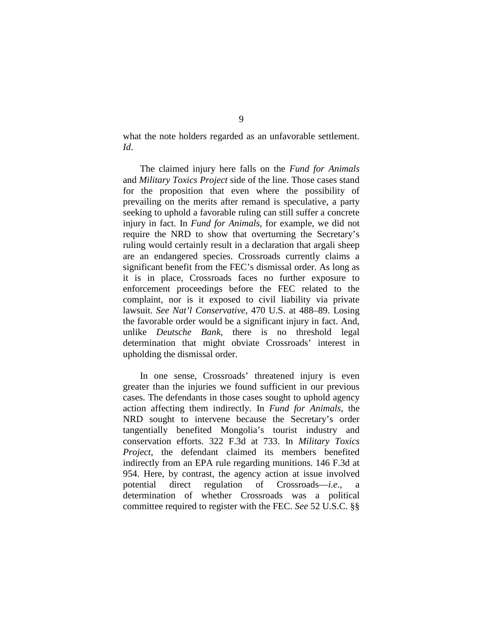what the note holders regarded as an unfavorable settlement. *Id*.

The claimed injury here falls on the *Fund for Animals* and *Military Toxics Project* side of the line. Those cases stand for the proposition that even where the possibility of prevailing on the merits after remand is speculative, a party seeking to uphold a favorable ruling can still suffer a concrete injury in fact. In *Fund for Animals*, for example, we did not require the NRD to show that overturning the Secretary's ruling would certainly result in a declaration that argali sheep are an endangered species. Crossroads currently claims a significant benefit from the FEC's dismissal order. As long as it is in place, Crossroads faces no further exposure to enforcement proceedings before the FEC related to the complaint, nor is it exposed to civil liability via private lawsuit. *See Nat'l Conservative*, 470 U.S. at 488–89. Losing the favorable order would be a significant injury in fact. And, unlike *Deutsche Bank*, there is no threshold legal determination that might obviate Crossroads' interest in upholding the dismissal order.

In one sense, Crossroads' threatened injury is even greater than the injuries we found sufficient in our previous cases. The defendants in those cases sought to uphold agency action affecting them indirectly. In *Fund for Animals*, the NRD sought to intervene because the Secretary's order tangentially benefited Mongolia's tourist industry and conservation efforts. 322 F.3d at 733. In *Military Toxics Project*, the defendant claimed its members benefited indirectly from an EPA rule regarding munitions. 146 F.3d at 954. Here, by contrast, the agency action at issue involved potential direct regulation of Crossroads—*i.e.*, determination of whether Crossroads was a political committee required to register with the FEC. *See* 52 U.S.C. §§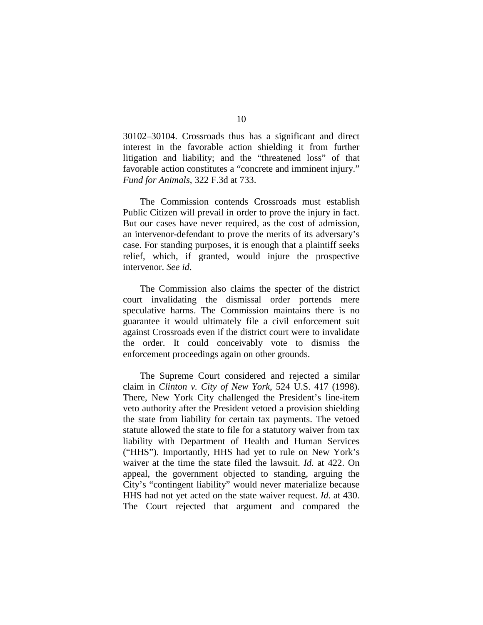30102–30104. Crossroads thus has a significant and direct interest in the favorable action shielding it from further litigation and liability; and the "threatened loss" of that favorable action constitutes a "concrete and imminent injury." *Fund for Animals*, 322 F.3d at 733.

The Commission contends Crossroads must establish Public Citizen will prevail in order to prove the injury in fact. But our cases have never required, as the cost of admission, an intervenor-defendant to prove the merits of its adversary's case. For standing purposes, it is enough that a plaintiff seeks relief, which, if granted, would injure the prospective intervenor. *See id*.

The Commission also claims the specter of the district court invalidating the dismissal order portends mere speculative harms. The Commission maintains there is no guarantee it would ultimately file a civil enforcement suit against Crossroads even if the district court were to invalidate the order. It could conceivably vote to dismiss the enforcement proceedings again on other grounds.

The Supreme Court considered and rejected a similar claim in *Clinton v. City of New York*, 524 U.S. 417 (1998). There, New York City challenged the President's line-item veto authority after the President vetoed a provision shielding the state from liability for certain tax payments. The vetoed statute allowed the state to file for a statutory waiver from tax liability with Department of Health and Human Services ("HHS"). Importantly, HHS had yet to rule on New York's waiver at the time the state filed the lawsuit. *Id*. at 422. On appeal, the government objected to standing, arguing the City's "contingent liability" would never materialize because HHS had not yet acted on the state waiver request. *Id*. at 430. The Court rejected that argument and compared the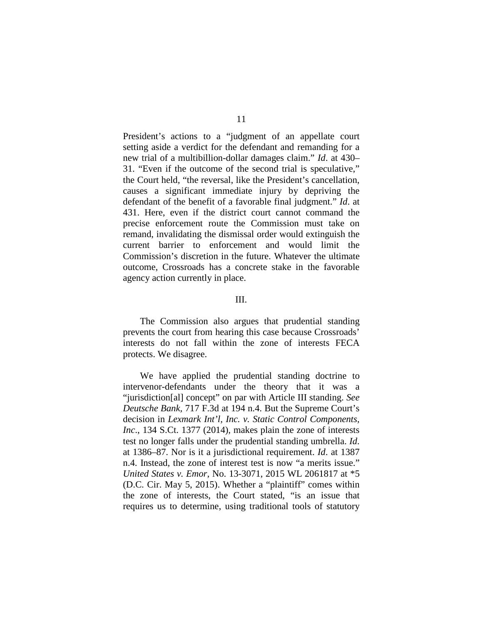President's actions to a "judgment of an appellate court setting aside a verdict for the defendant and remanding for a new trial of a multibillion-dollar damages claim." *Id*. at 430– 31. "Even if the outcome of the second trial is speculative," the Court held, "the reversal, like the President's cancellation, causes a significant immediate injury by depriving the defendant of the benefit of a favorable final judgment." *Id*. at 431. Here, even if the district court cannot command the precise enforcement route the Commission must take on remand, invalidating the dismissal order would extinguish the current barrier to enforcement and would limit the Commission's discretion in the future. Whatever the ultimate outcome, Crossroads has a concrete stake in the favorable agency action currently in place.

#### III.

The Commission also argues that prudential standing prevents the court from hearing this case because Crossroads' interests do not fall within the zone of interests FECA protects. We disagree.

We have applied the prudential standing doctrine to intervenor-defendants under the theory that it was a "jurisdiction[al] concept" on par with Article III standing. *See Deutsche Bank,* 717 F.3d at 194 n.4. But the Supreme Court's decision in *Lexmark Int'l, Inc. v. Static Control Components, Inc*., 134 S.Ct. 1377 (2014), makes plain the zone of interests test no longer falls under the prudential standing umbrella. *Id*. at 1386–87. Nor is it a jurisdictional requirement. *Id*. at 1387 n.4. Instead, the zone of interest test is now "a merits issue." *United States v. Emor*, No. 13-3071, 2015 WL 2061817 at \*5 (D.C. Cir. May 5, 2015). Whether a "plaintiff" comes within the zone of interests, the Court stated, "is an issue that requires us to determine, using traditional tools of statutory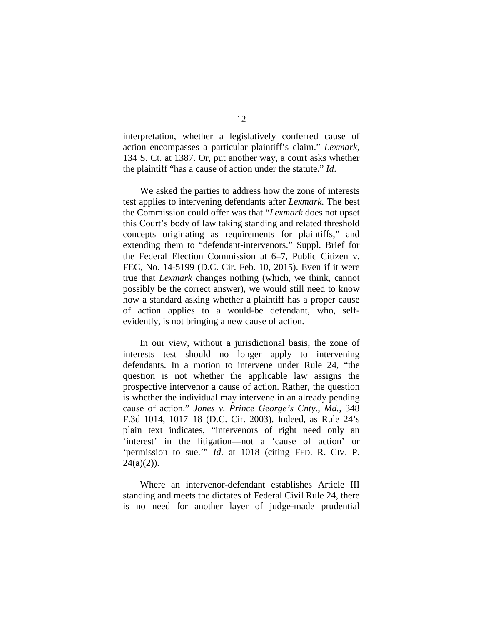interpretation, whether a legislatively conferred cause of action encompasses a particular plaintiff's claim." *Lexmark*, 134 S. Ct. at 1387. Or, put another way, a court asks whether the plaintiff "has a cause of action under the statute." *Id*.

We asked the parties to address how the zone of interests test applies to intervening defendants after *Lexmark*. The best the Commission could offer was that "*Lexmark* does not upset this Court's body of law taking standing and related threshold concepts originating as requirements for plaintiffs," and extending them to "defendant-intervenors." Suppl. Brief for the Federal Election Commission at 6–7, Public Citizen v. FEC, No. 14-5199 (D.C. Cir. Feb. 10, 2015). Even if it were true that *Lexmark* changes nothing (which, we think, cannot possibly be the correct answer), we would still need to know how a standard asking whether a plaintiff has a proper cause of action applies to a would-be defendant, who, selfevidently, is not bringing a new cause of action.

In our view, without a jurisdictional basis, the zone of interests test should no longer apply to intervening defendants. In a motion to intervene under Rule 24, "the question is not whether the applicable law assigns the prospective intervenor a cause of action. Rather, the question is whether the individual may intervene in an already pending cause of action." *Jones v. Prince George's Cnty., Md.*, 348 F.3d 1014, 1017–18 (D.C. Cir. 2003). Indeed, as Rule 24's plain text indicates, "intervenors of right need only an 'interest' in the litigation—not a 'cause of action' or 'permission to sue.'" *Id*. at 1018 (citing FED. R. CIV. P.  $24(a)(2)$ ).

Where an intervenor-defendant establishes Article III standing and meets the dictates of Federal Civil Rule 24, there is no need for another layer of judge-made prudential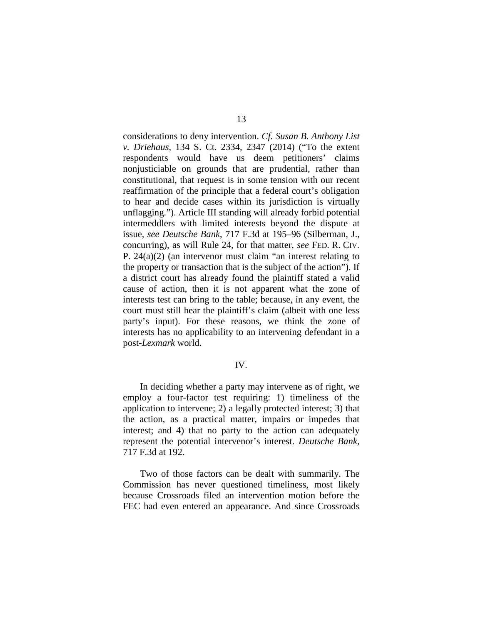considerations to deny intervention. *Cf. Susan B. Anthony List v. Driehaus*, 134 S. Ct. 2334, 2347 (2014) ("To the extent respondents would have us deem petitioners' claims nonjusticiable on grounds that are prudential, rather than constitutional, that request is in some tension with our recent reaffirmation of the principle that a federal court's obligation to hear and decide cases within its jurisdiction is virtually unflagging."). Article III standing will already forbid potential intermeddlers with limited interests beyond the dispute at issue, *see Deutsche Bank*, 717 F.3d at 195–96 (Silberman, J., concurring), as will Rule 24, for that matter, *see* FED. R. CIV. P. 24(a)(2) (an intervenor must claim "an interest relating to the property or transaction that is the subject of the action"). If a district court has already found the plaintiff stated a valid cause of action, then it is not apparent what the zone of interests test can bring to the table; because, in any event, the court must still hear the plaintiff's claim (albeit with one less party's input). For these reasons, we think the zone of interests has no applicability to an intervening defendant in a post-*Lexmark* world.

### IV.

In deciding whether a party may intervene as of right, we employ a four-factor test requiring: 1) timeliness of the application to intervene; 2) a legally protected interest; 3) that the action, as a practical matter, impairs or impedes that interest; and 4) that no party to the action can adequately represent the potential intervenor's interest. *Deutsche Bank*, 717 F.3d at 192.

Two of those factors can be dealt with summarily. The Commission has never questioned timeliness, most likely because Crossroads filed an intervention motion before the FEC had even entered an appearance. And since Crossroads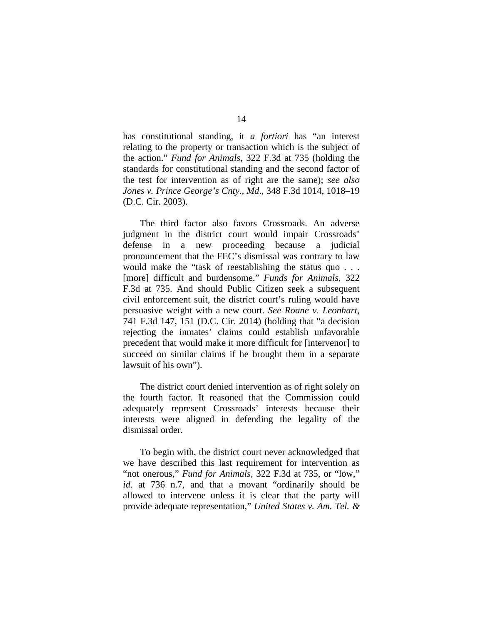has constitutional standing, it *a fortiori* has "an interest relating to the property or transaction which is the subject of the action." *Fund for Animals*, 322 F.3d at 735 (holding the standards for constitutional standing and the second factor of the test for intervention as of right are the same); *see also Jones v. Prince George's Cnty*., *Md*., 348 F.3d 1014, 1018–19 (D.C. Cir. 2003).

The third factor also favors Crossroads. An adverse judgment in the district court would impair Crossroads' defense in a new proceeding because a judicial pronouncement that the FEC's dismissal was contrary to law would make the "task of reestablishing the status quo . . . [more] difficult and burdensome." *Funds for Animals*, 322 F.3d at 735. And should Public Citizen seek a subsequent civil enforcement suit, the district court's ruling would have persuasive weight with a new court. *See Roane v. Leonhart*, 741 F.3d 147, 151 (D.C. Cir. 2014) (holding that "a decision rejecting the inmates' claims could establish unfavorable precedent that would make it more difficult for [intervenor] to succeed on similar claims if he brought them in a separate lawsuit of his own").

The district court denied intervention as of right solely on the fourth factor. It reasoned that the Commission could adequately represent Crossroads' interests because their interests were aligned in defending the legality of the dismissal order.

To begin with, the district court never acknowledged that we have described this last requirement for intervention as "not onerous," *Fund for Animals*, 322 F.3d at 735, or "low," *id*. at 736 n.7, and that a movant "ordinarily should be allowed to intervene unless it is clear that the party will provide adequate representation," *United States v. Am. Tel. &*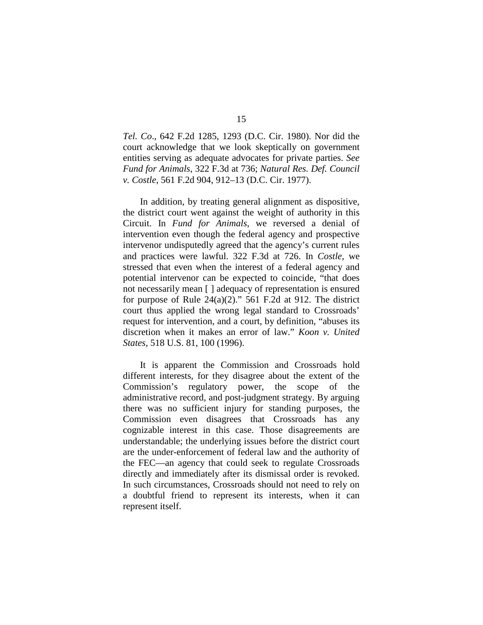*Tel. Co*., 642 F.2d 1285, 1293 (D.C. Cir. 1980). Nor did the court acknowledge that we look skeptically on government entities serving as adequate advocates for private parties. *See Fund for Animals*, 322 F.3d at 736; *Natural Res. Def. Council v. Costle*, 561 F.2d 904, 912–13 (D.C. Cir. 1977).

In addition, by treating general alignment as dispositive, the district court went against the weight of authority in this Circuit. In *Fund for Animals*, we reversed a denial of intervention even though the federal agency and prospective intervenor undisputedly agreed that the agency's current rules and practices were lawful. 322 F.3d at 726. In *Costle*, we stressed that even when the interest of a federal agency and potential intervenor can be expected to coincide, "that does not necessarily mean [ ] adequacy of representation is ensured for purpose of Rule  $24(a)(2)$ ." 561 F.2d at 912. The district court thus applied the wrong legal standard to Crossroads' request for intervention, and a court, by definition, "abuses its discretion when it makes an error of law." *Koon v. United States*, 518 U.S. 81, 100 (1996).

It is apparent the Commission and Crossroads hold different interests, for they disagree about the extent of the Commission's regulatory power, the scope of the administrative record, and post-judgment strategy. By arguing there was no sufficient injury for standing purposes, the Commission even disagrees that Crossroads has any cognizable interest in this case. Those disagreements are understandable; the underlying issues before the district court are the under-enforcement of federal law and the authority of the FEC—an agency that could seek to regulate Crossroads directly and immediately after its dismissal order is revoked. In such circumstances, Crossroads should not need to rely on a doubtful friend to represent its interests, when it can represent itself.